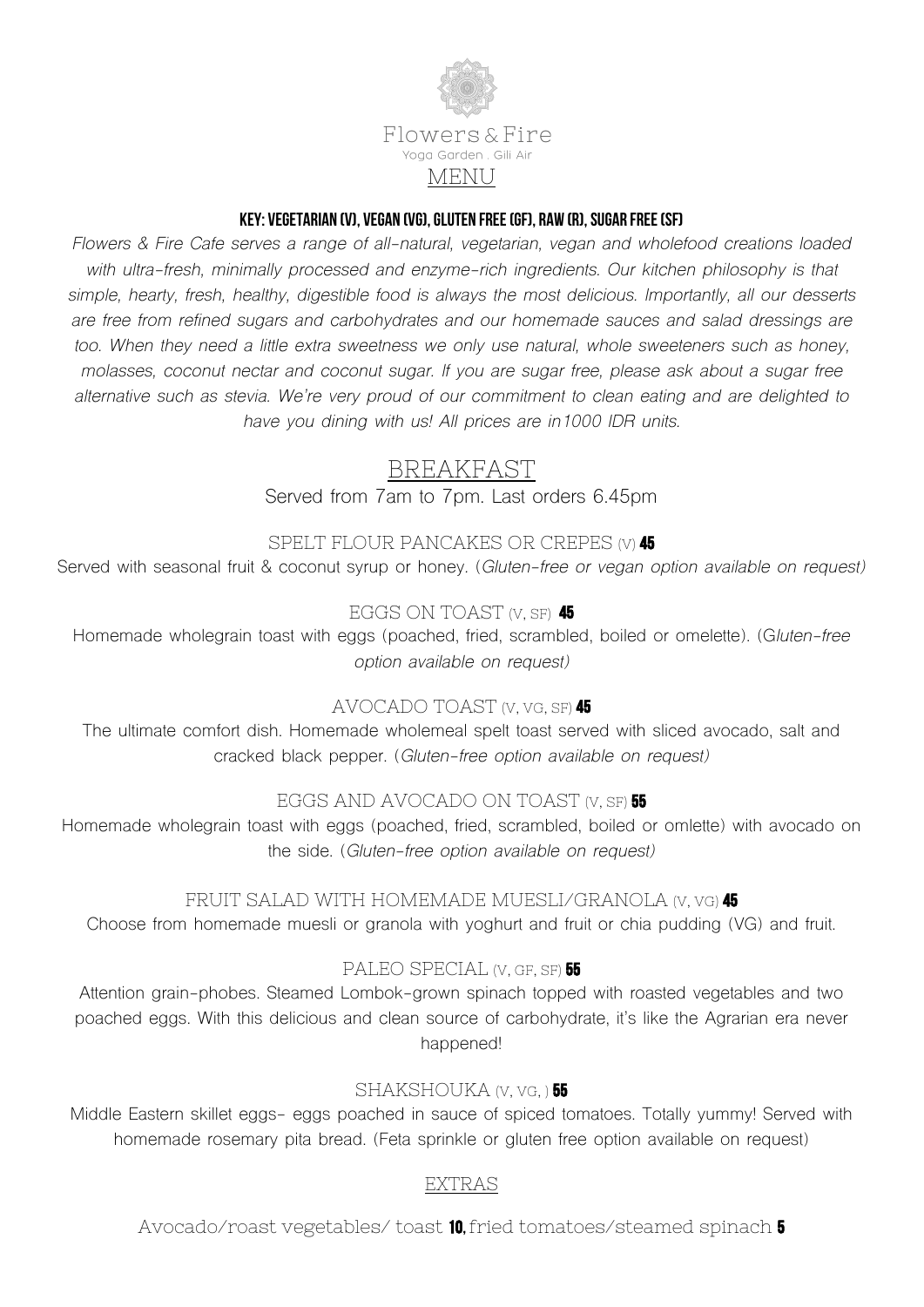

#### KEY: Vegetarian (v), Vegan (vg), Gluten Free (gf), Raw (r), Sugar Free (sf)

*Flowers & Fire Cafe serves a range of all-natural, vegetarian, vegan and wholefood creations loaded with ultra-fresh, minimally processed and enzyme-rich ingredients. Our kitchen philosophy is that simple, hearty, fresh, healthy, digestible food is always the most delicious. Importantly, all our desserts are free from refined sugars and carbohydrates and our homemade sauces and salad dressings are*  too. When they need a little extra sweetness we only use natural, whole sweeteners such as honey, *molasses, coconut nectar and coconut sugar. If you are sugar free, please ask about a sugar free alternative such as stevia. We're very proud of our commitment to clean eating and are delighted to have you dining with us! All prices are in1000 IDR units.*

# BREAKFAST

Served from 7am to 7pm. Last orders 6.45pm

### SPELT FLOUR PANCAKES OR CREPES (V) 45

Served with seasonal fruit & coconut syrup or honey*.* (*Gluten-free or vegan option available on request)*

# EGGS ON TOAST (V, SF) 45

Homemade wholegrain toast with eggs (poached, fried, scrambled, boiled or omelette). (G*luten-free option available on request)*

### AVOCADO TOAST (V, VG, SF) 45

The ultimate comfort dish. Homemade wholemeal spelt toast served with sliced avocado, salt and cracked black pepper. (*Gluten-free option available on request)*

# EGGS AND AVOCADO ON TOAST (V, SF) 55

Homemade wholegrain toast with eggs (poached, fried, scrambled, boiled or omlette) with avocado on the side. (*Gluten-free option available on request)*

### FRUIT SALAD WITH HOMEMADE MUESLI/GRANOLA (V, VG) 45

Choose from homemade muesli or granola with yoghurt and fruit or chia pudding (VG) and fruit.

### PALEO SPECIAL (V, GF, SF) 55

Attention grain-phobes. Steamed Lombok-grown spinach topped with roasted vegetables and two poached eggs. With this delicious and clean source of carbohydrate, it's like the Agrarian era never happened!

### SHAKSHOUKA (V, VG, ) 55

Middle Eastern skillet eggs- eggs poached in sauce of spiced tomatoes. Totally yummy! Served with homemade rosemary pita bread. (Feta sprinkle or gluten free option available on request)

### EXTRAS

Avocado/roast vegetables/ toast 10, fried tomatoes/steamed spinach 5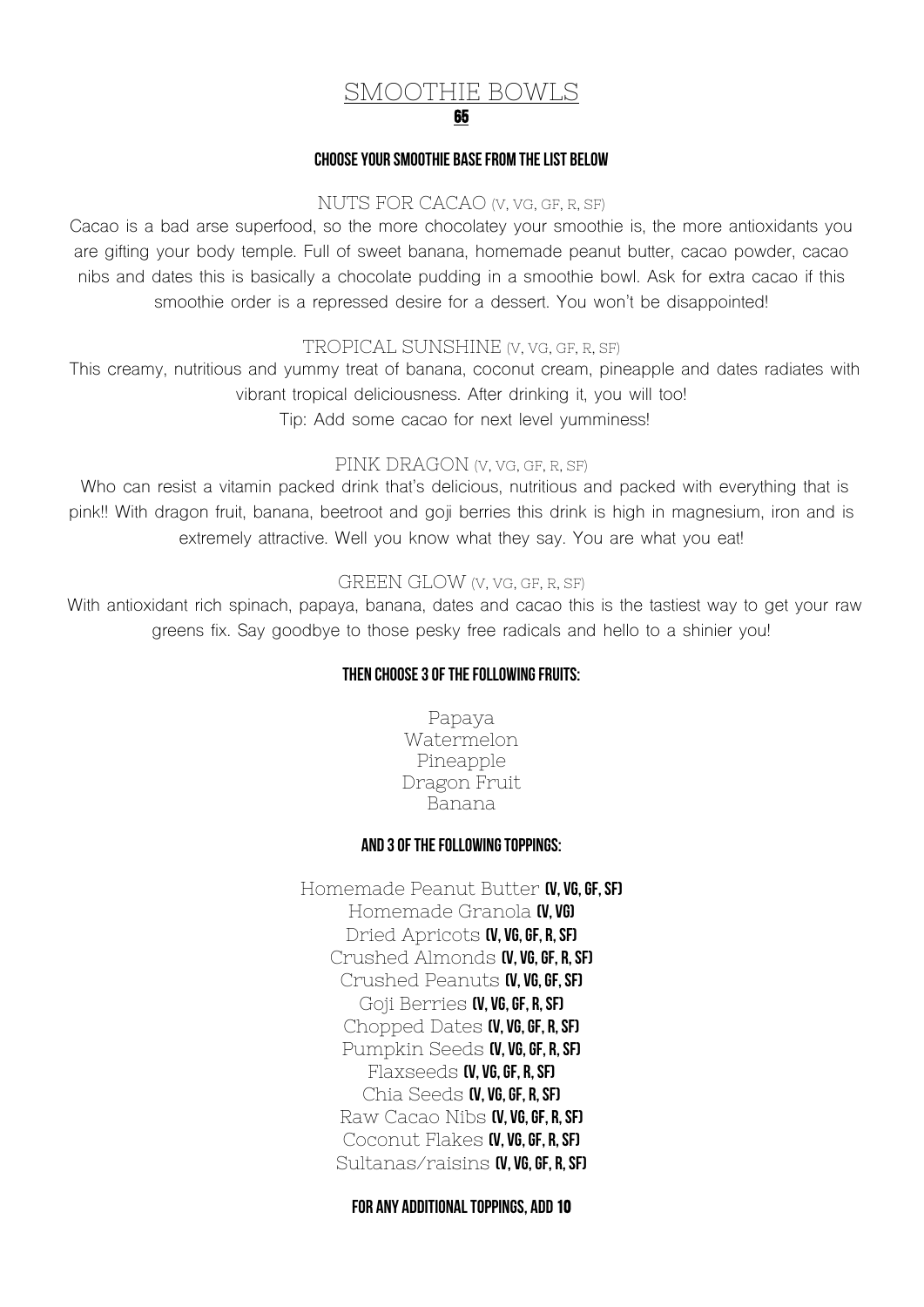#### SMOOTHIE BOWLS 65

#### Choose your smoothie basefrom the list below

#### NUTS FOR CACAO (V, VG, GF, R, SF)

Cacao is a bad arse superfood, so the more chocolatey your smoothie is, the more antioxidants you are gifting your body temple. Full of sweet banana, homemade peanut butter, cacao powder, cacao nibs and dates this is basically a chocolate pudding in a smoothie bowl. Ask for extra cacao if this smoothie order is a repressed desire for a dessert. You won't be disappointed!

#### TROPICAL SUNSHINE (V, VG, GF, R, SF)

This creamy, nutritious and yummy treat of banana, coconut cream, pineapple and dates radiates with vibrant tropical deliciousness. After drinking it, you will too! Tip: Add some cacao for next level yumminess!

#### PINK DRAGON (V, VG, GF, R, SF)

Who can resist a vitamin packed drink that's delicious, nutritious and packed with everything that is pink!! With dragon fruit, banana, beetroot and goji berries this drink is high in magnesium, iron and is extremely attractive. Well you know what they say. You are what you eat!

#### GREEN GLOW (V, VG, GF, R, SF)

With antioxidant rich spinach, papaya, banana, dates and cacao this is the tastiest way to get your raw greens fix. Say goodbye to those pesky free radicals and hello to a shinier you!

#### Then choose 3 of the following fruits:

Papaya Watermelon Pineapple Dragon Fruit Banana

#### And 3 of the following toppings:

Homemade Peanut Butter (V, VG, GF, SF) Homemade Granola (V. VG) Dried Apricots **(V, VG, GF, R, SF)** Crushed Almonds **(V, VG, GF, R, SF)** Crushed Peanuts **(V, VG, GF, SF)** Goji Berries **(V, VG, GF, R, SF)** Chopped Dates  $N$ , vg, GF, R, SFJ Pumpkin Seeds **(V, VG, GF, R, SF)** Flaxseeds **(V, VG, GF, R, SF)** Chia Seeds  $N$ ,  $V$ G, GF, R, SFJ Raw Cacao Nibs **(V, VG, GF, R, SF)** Coconut Flakes **(V, VG, GF, R, SF)** Sultanas/raisins **(V, VG, GF, R, SF)** 

For Any additional toppings, add 10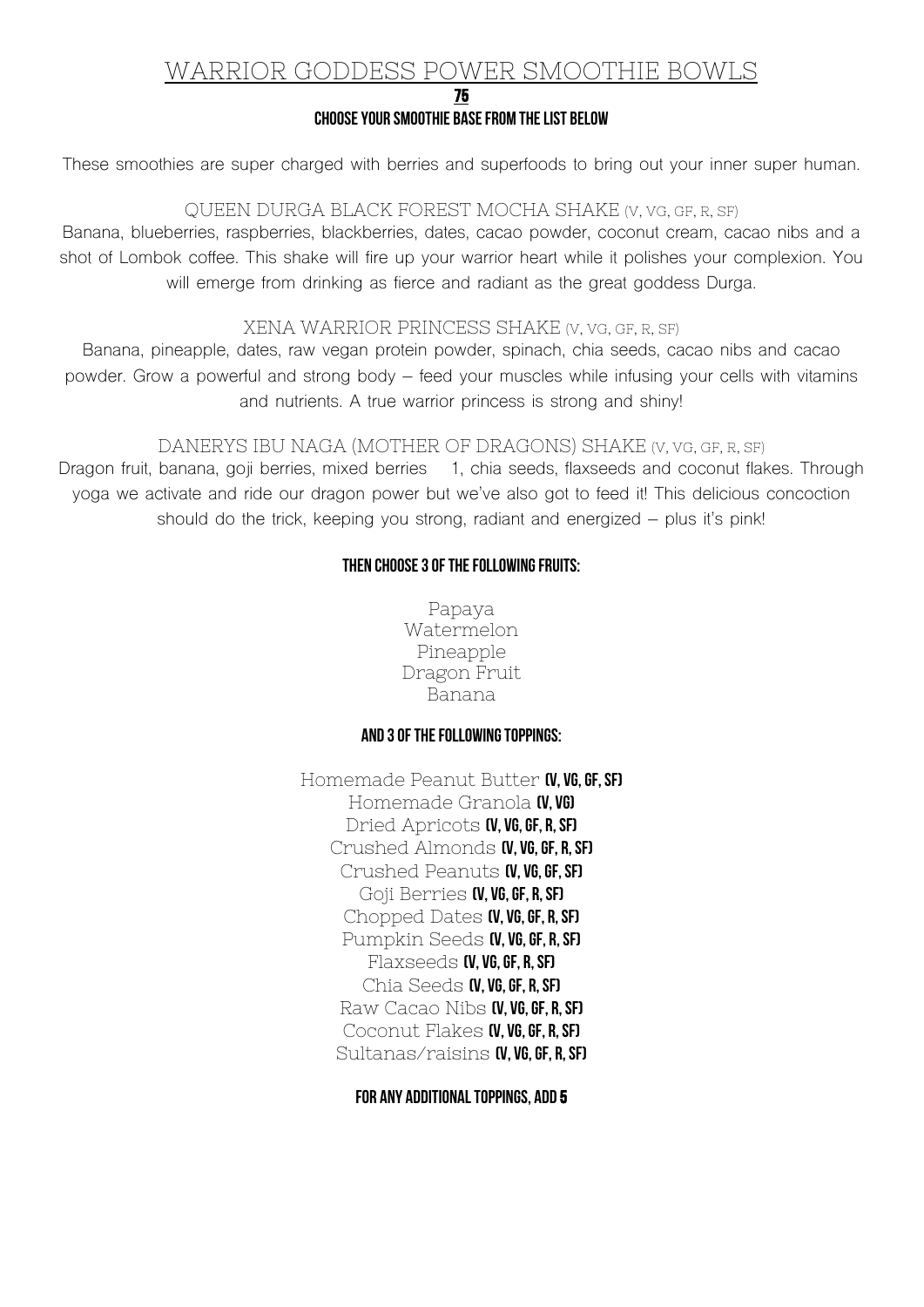# WARRIOR GODDESS POWER SMOOTHIE BOWLS

#### 75

#### Choose your smoothie basefrom the list below

These smoothies are super charged with berries and superfoods to bring out your inner super human.

#### QUEEN DURGA BLACK FOREST MOCHA SHAKE (V, VG, GF, R, SF)

Banana, blueberries, raspberries, blackberries, dates, cacao powder, coconut cream, cacao nibs and a shot of Lombok coffee. This shake will fire up your warrior heart while it polishes your complexion. You will emerge from drinking as fierce and radiant as the great goddess Durga.

#### XENA WARRIOR PRINCESS SHAKE (V, VG, GF, R, SF)

Banana, pineapple, dates, raw vegan protein powder, spinach, chia seeds, cacao nibs and cacao powder. Grow a powerful and strong body – feed your muscles while infusing your cells with vitamins and nutrients. A true warrior princess is strong and shiny!

#### DANERYS IBU NAGA (MOTHER OF DRAGONS) SHAKE (V, VG, GF, R, SF)

Dragon fruit, banana, goji berries, mixed berries 1, chia seeds, flaxseeds and coconut flakes. Through yoga we activate and ride our dragon power but we've also got to feed it! This delicious concoction should do the trick, keeping you strong, radiant and energized – plus it's pink!

#### Then choose 3 of the following fruits:

Papaya Watermelon Pineapple Dragon Fruit Banana

#### And 3 of the following toppings:

Homemade Peanut Butter (V, VG, GF, SF) Homemade Granola (V. VG) Dried Apricots **(V, VG, GF, R, SF)** Crushed Almonds (V, VG, GF, R, SF) Crushed Peanuts **(V, VG, GF, SF)** Goji Berries **(V, VG, GF, R, SF)** Chopped Dates (V, VG, GF, R, SF) Pumpkin Seeds **(V, VG, GF, R, SF)** Flaxseeds **(V, VG, GF, R, SF)** Chia Seeds  $N$ ,  $V$ G, GF, R, SFJ Raw Cacao Nibs **(V, VG, GF, R, SF)** Coconut Flakes **(V, VG, GF, R, SF)** Sultanas/raisins  $\alpha$ , vg, GF, R, SF)

#### For Any additional toppings, add 5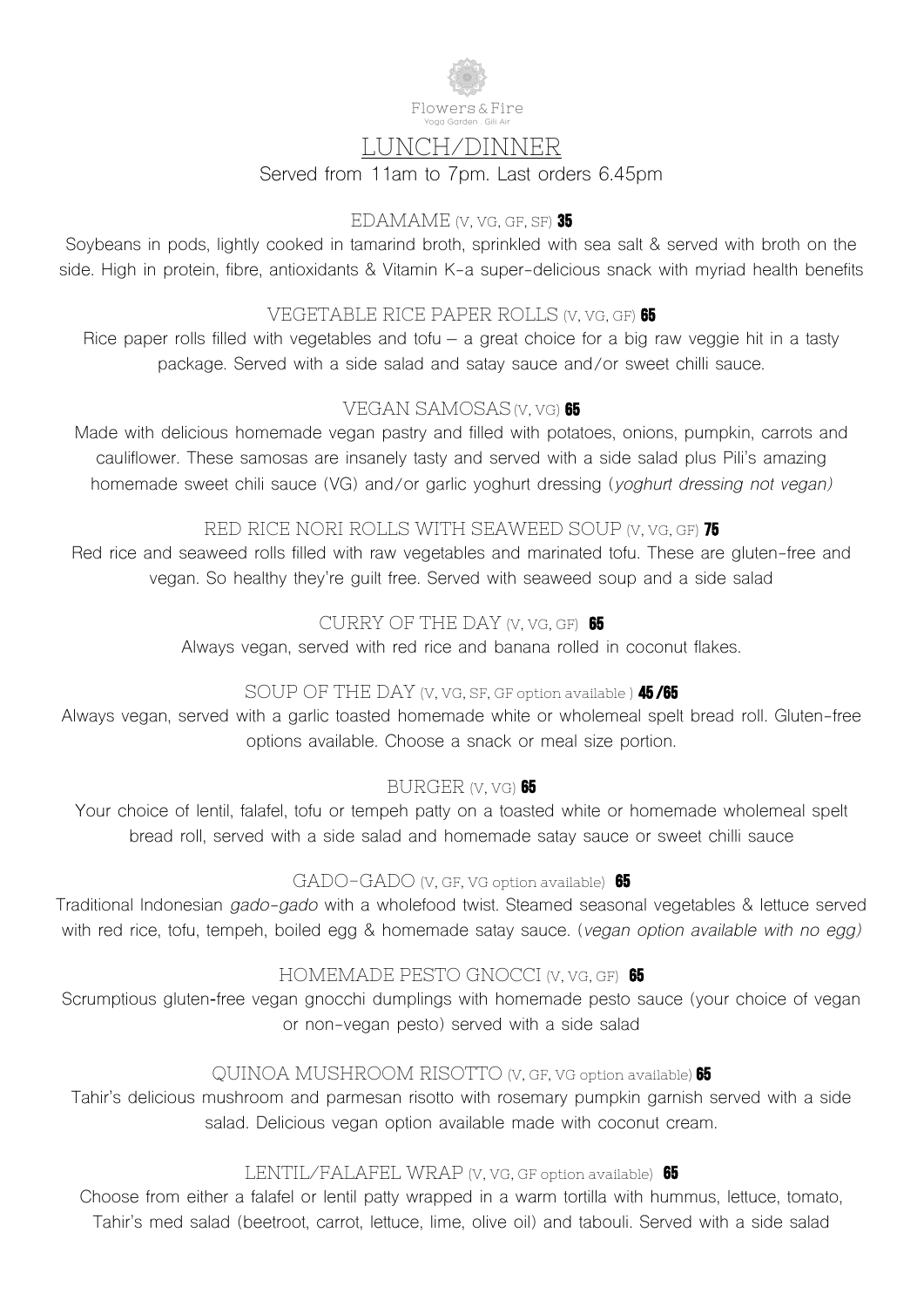

# LUNCH/DINNER

Served from 11am to 7pm. Last orders 6.45pm

#### EDAMAME (V, VG, GF, SF) 35

Soybeans in pods, lightly cooked in tamarind broth, sprinkled with sea salt & served with broth on the side. High in protein, fibre, antioxidants & Vitamin K-a super-delicious snack with myriad health benefits

### VEGETABLE RICE PAPER ROLLS (V, VG, GF) 65

Rice paper rolls filled with vegetables and tofu – a great choice for a big raw veggie hit in a tasty package. Served with a side salad and satay sauce and/or sweet chilli sauce.

### VEGAN SAMOSAS (V, VG) 65

Made with delicious homemade vegan pastry and filled with potatoes, onions, pumpkin, carrots and cauliflower. These samosas are insanely tasty and served with a side salad plus Pili's amazing homemade sweet chili sauce (VG) and/or garlic yoghurt dressing (*yoghurt dressing not vegan)*

### RED RICE NORI ROLLS WITH SEAWEED SOUP (V, VG, GF) 75

Red rice and seaweed rolls filled with raw vegetables and marinated tofu. These are gluten-free and vegan. So healthy they're guilt free. Served with seaweed soup and a side salad

# CURRY OF THE DAY (V, VG, GF) 65

Always vegan, served with red rice and banana rolled in coconut flakes.

### SOUP OF THE DAY (V, VG, SF, GF option available ) **45/65**

Always vegan, served with a garlic toasted homemade white or wholemeal spelt bread roll. Gluten-free options available. Choose a snack or meal size portion.

### BURGER (V, VG) 65

Your choice of lentil, falafel, tofu or tempeh patty on a toasted white or homemade wholemeal spelt bread roll, served with a side salad and homemade satay sauce or sweet chilli sauce

#### GADO-GADO (V, GF, VG option available) 65

Traditional Indonesian *gado-gado* with a wholefood twist. Steamed seasonal vegetables & lettuce served with red rice, tofu, tempeh, boiled egg & homemade satay sauce. (*vegan option available with no egg)*

### HOMEMADE PESTO GNOCCI (V, VG, GF) 65

Scrumptious gluten**-**free vegan gnocchi dumplings with homemade pesto sauce (your choice of vegan or non-vegan pesto) served with a side salad

### QUINOA MUSHROOM RISOTTO (V, GF, VG option available) 65

Tahir's delicious mushroom and parmesan risotto with rosemary pumpkin garnish served with a side salad. Delicious vegan option available made with coconut cream.

### LENTIL/FALAFEL WRAP (V, VG, GF option available) 65

Choose from either a falafel or lentil patty wrapped in a warm tortilla with hummus, lettuce, tomato, Tahir's med salad (beetroot, carrot, lettuce, lime, olive oil) and tabouli. Served with a side salad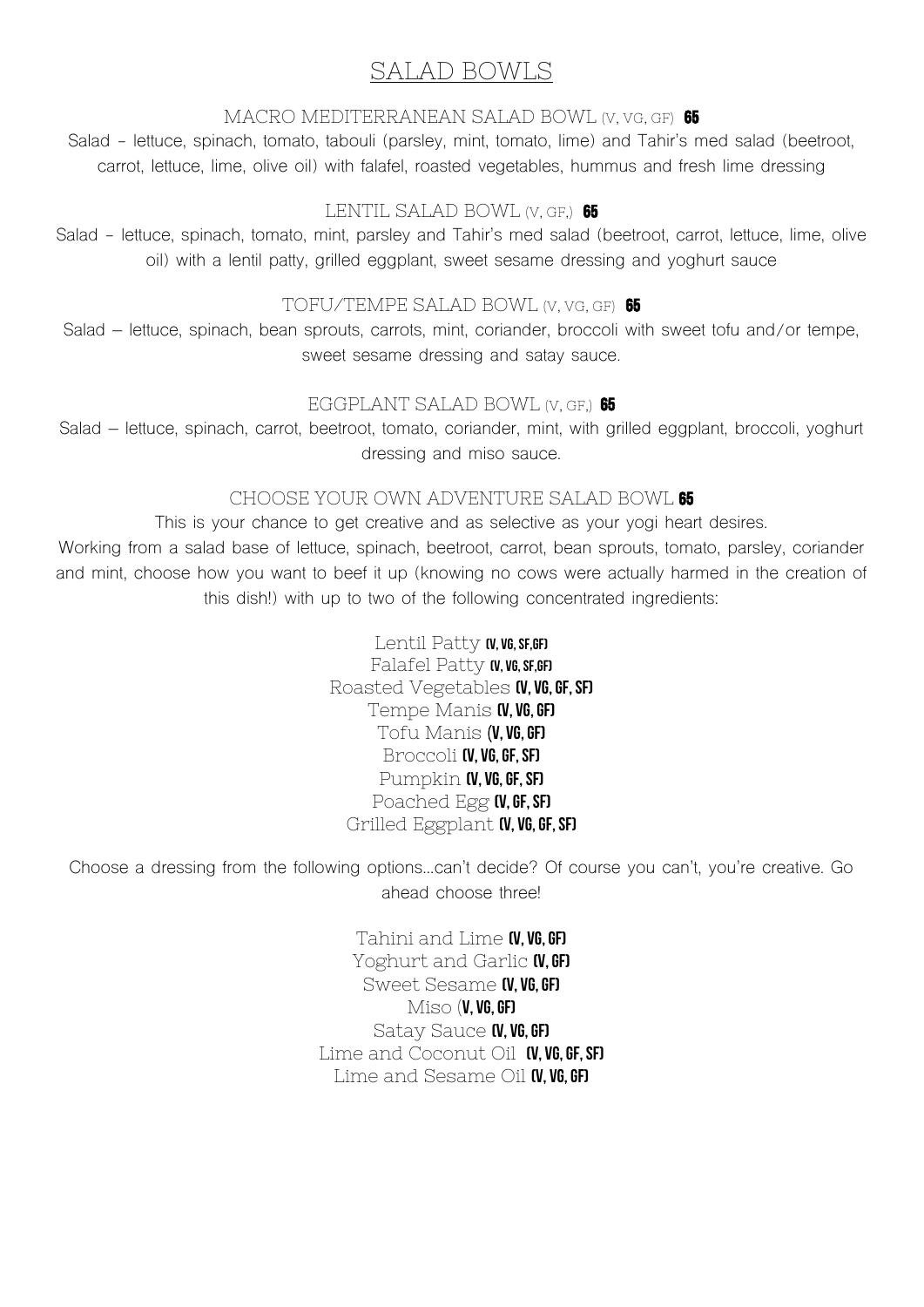# SALAD BOWLS

#### MACRO MEDITERRANEAN SALAD BOWL (V, VG, GF) 65

Salad - lettuce, spinach, tomato, tabouli (parsley, mint, tomato, lime) and Tahir's med salad (beetroot, carrot, lettuce, lime, olive oil) with falafel, roasted vegetables, hummus and fresh lime dressing

### LENTIL SALAD BOWL (V, GF.) 65

Salad - lettuce, spinach, tomato, mint, parsley and Tahir's med salad (beetroot, carrot, lettuce, lime, olive oil) with a lentil patty, grilled eggplant, sweet sesame dressing and yoghurt sauce

#### TOFU/TEMPE SALAD BOWL (V, VG, GF) 65

Salad – lettuce, spinach, bean sprouts, carrots, mint, coriander, broccoli with sweet tofu and/or tempe, sweet sesame dressing and satay sauce.

### EGGPLANT SALAD BOWL (V, GF.) 65

Salad – lettuce, spinach, carrot, beetroot, tomato, coriander, mint, with grilled eggplant, broccoli, yoghurt dressing and miso sauce.

### CHOOSE YOUR OWN ADVENTURE SALAD BOWL 65

This is your chance to get creative and as selective as your yogi heart desires. Working from a salad base of lettuce, spinach, beetroot, carrot, bean sprouts, tomato, parsley, coriander and mint, choose how you want to beef it up (knowing no cows were actually harmed in the creation of this dish!) with up to two of the following concentrated ingredients:

> Lentil Patty (v, vg, sf, GF) Falafel Patty (v, vG, SF,GF) Roasted Vegetables (V, VG, GF, SF) Tempe Manis **(V, VG, GF)** Tofu Manis  $(V, VG, GF)$ Broccoli (V, VG, GF, SF) Pumpkin **(V, VG, GF, SF)** Poached Egg (V, GF, SF) Grilled Eggplant **(V, VG, GF, SF)**

Choose a dressing from the following options…can't decide? Of course you can't, you're creative. Go ahead choose three!

> Tahini and Lime (V, VG, GF) Yoghurt and Garlic **(V.GF)** Sweet Sesame **(V, VG, GF)**  $Miso$  (V, VG, GF) Satay Sauce **(V, VG, GF)** Lime and Coconut Oil  $N$ , vg, GF, SF) Lime and Sesame Oil  $\alpha$ , vg, GF)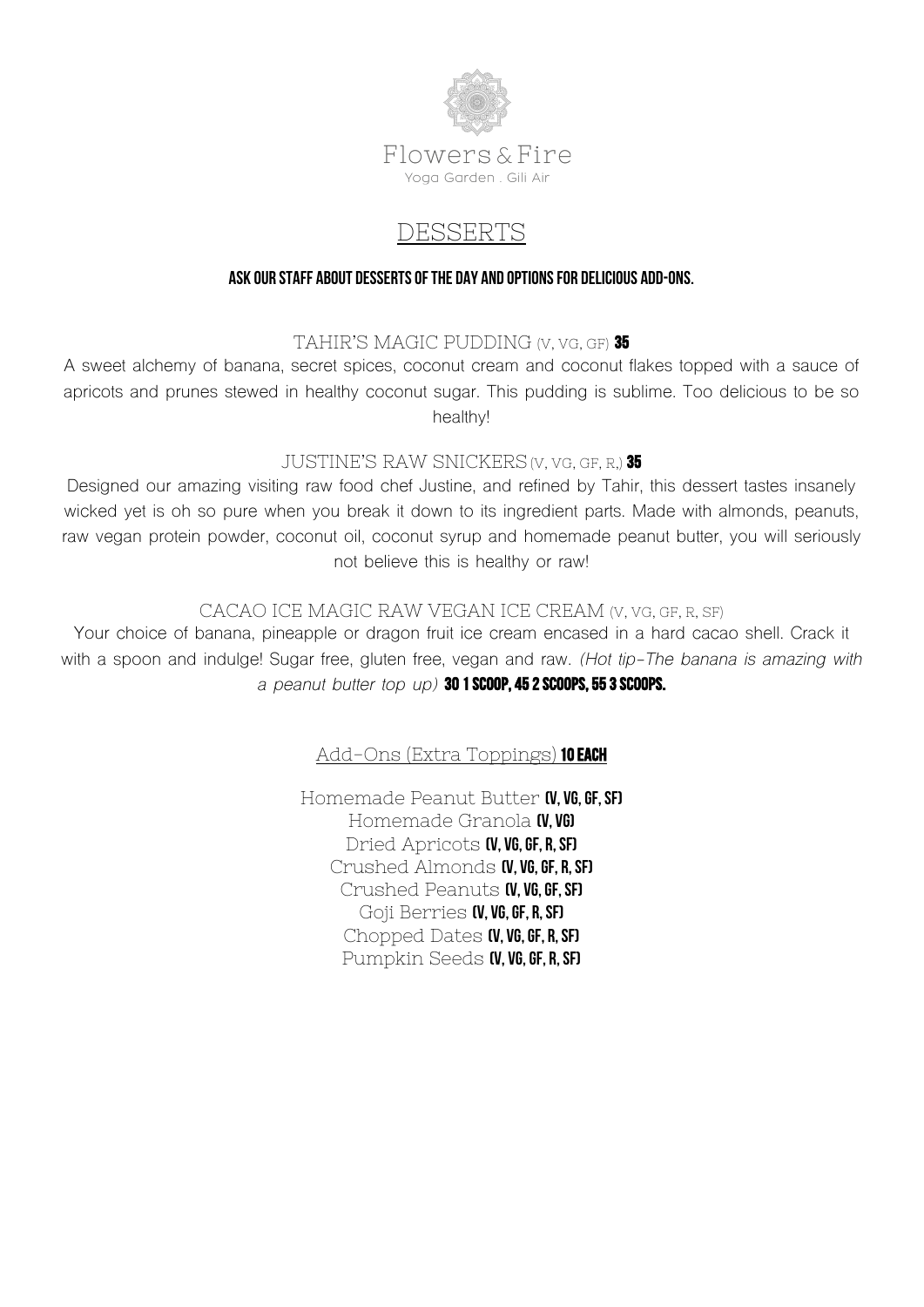

# DESSERTS

#### Ask our staff about desserts of the day and options for delicious add-ons.

### TAHIR'S MAGIC PUDDING (V, VG, GF) 35

A sweet alchemy of banana, secret spices, coconut cream and coconut flakes topped with a sauce of apricots and prunes stewed in healthy coconut sugar. This pudding is sublime. Too delicious to be so healthy!

#### JUSTINE'S RAW SNICKERS (V. VG, GF, R.) 35

Designed our amazing visiting raw food chef Justine, and refined by Tahir, this dessert tastes insanely wicked yet is oh so pure when you break it down to its ingredient parts. Made with almonds, peanuts, raw vegan protein powder, coconut oil, coconut syrup and homemade peanut butter, you will seriously not believe this is healthy or raw!

### CACAO ICE MAGIC RAW VEGAN ICE CREAM (V, VG, GF, R, SF)

Your choice of banana, pineapple or dragon fruit ice cream encased in a hard cacao shell. Crack it with a spoon and indulge! Sugar free, gluten free, vegan and raw. *(Hot tip-The banana is amazing with a peanut butter top up)* 30 1 scoop, 45 2 scoops, 55 3 scoops.

### Add-Ons (Extra Toppings) 10 EACH

Homemade Peanut Butter (V, VG, GF, SF) Homemade Granola (V, VG) Dried Apricots **(V, VG, GF, R, SF)** Crushed Almonds **(V, VG, GF, R, SF)** Crushed Peanuts (V, VG, GF, SF) Goji Berries **(V, VG, GF, R, SF)** Chopped Dates **(V, VG, GF, R, SF)** Pumpkin Seeds (V, VG, GF, R, SF)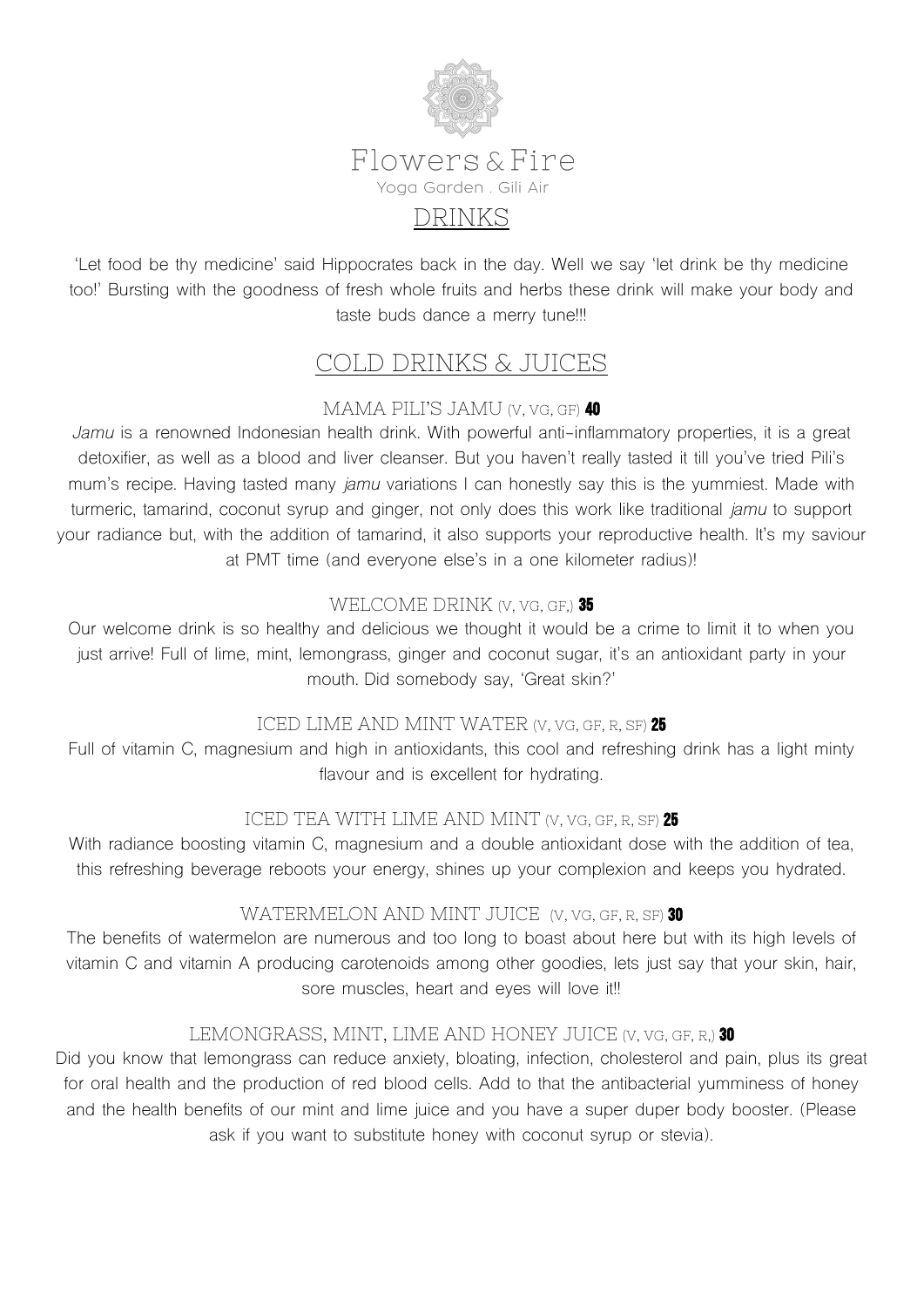

'Let food be thy medicine' said Hippocrates back in the day. Well we say 'let drink be thy medicine too!' Bursting with the goodness of fresh whole fruits and herbs these drink will make your body and taste buds dance a merry tune!!!

# COLD DRINKS & JUICES

# MAMA PILI'S JAMU (V, VG, GF) 40

*Jamu* is a renowned Indonesian health drink. With powerful anti-inflammatory properties, it is a great detoxifier, as well as a blood and liver cleanser. But you haven't really tasted it till you've tried Pili's mum's recipe. Having tasted many *jamu* variations I can honestly say this is the yummiest. Made with turmeric, tamarind, coconut syrup and ginger, not only does this work like traditional *jamu* to support your radiance but, with the addition of tamarind, it also supports your reproductive health. It's my saviour at PMT time (and everyone else's in a one kilometer radius)!

# WELCOME DRINK (V, VG, GF.) 35

Our welcome drink is so healthy and delicious we thought it would be a crime to limit it to when you just arrive! Full of lime, mint, lemongrass, ginger and coconut sugar, it's an antioxidant party in your mouth. Did somebody say, 'Great skin?'

# ICED LIME AND MINT WATER (V, VG, GF, R, SF) 25

Full of vitamin C, magnesium and high in antioxidants, this cool and refreshing drink has a light minty flavour and is excellent for hydrating.

# ICED TEA WITH LIME AND MINT (V, VG, GF, R, SF) 25

With radiance boosting vitamin C, magnesium and a double antioxidant dose with the addition of tea, this refreshing beverage reboots your energy, shines up your complexion and keeps you hydrated.

# WATERMELON AND MINT JUICE (V, VG, GF, R, SF) 30

The benefits of watermelon are numerous and too long to boast about here but with its high levels of vitamin C and vitamin A producing carotenoids among other goodies, lets just say that your skin, hair, sore muscles, heart and eyes will love it!!

# LEMONGRASS, MINT, LIME AND HONEY JUICE (V. VG, GF, R.) 30

Did you know that lemongrass can reduce anxiety, bloating, infection, cholesterol and pain, plus its great for oral health and the production of red blood cells. Add to that the antibacterial yumminess of honey and the health benefits of our mint and lime juice and you have a super duper body booster. (Please ask if you want to substitute honey with coconut syrup or stevia).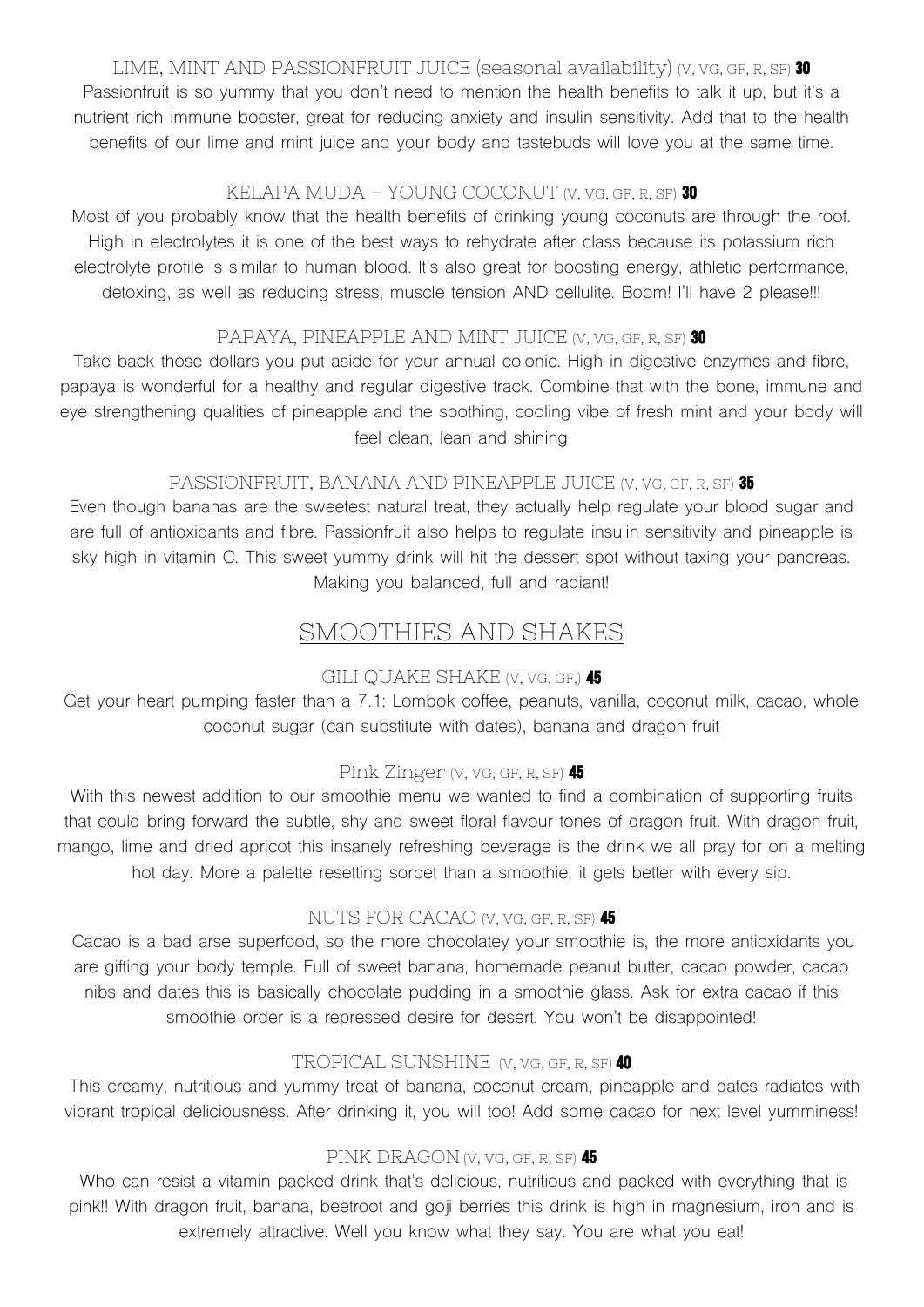LIME, MINT AND PASSIONFRUIT JUICE (seasonal availability) (V, VG, GF, R, SF) 30 Passionfruit is so yummy that you don't need to mention the health benefits to talk it up, but it's a nutrient rich immune booster, great for reducing anxiety and insulin sensitivity. Add that to the health benefits of our lime and mint juice and your body and tastebuds will love you at the same time.

### KELAPA MUDA – YOUNG COCONUT (V, VG, GF, R, SF) 30

Most of you probably know that the health benefits of drinking young coconuts are through the roof. High in electrolytes it is one of the best ways to rehydrate after class because its potassium rich electrolyte profile is similar to human blood. It's also great for boosting energy, athletic performance, detoxing, as well as reducing stress, muscle tension AND cellulite. Boom! I'll have 2 please!!!

### PAPAYA, PINEAPPLE AND MINT JUICE (V, VG, GF, R, SF) 30

Take back those dollars you put aside for your annual colonic. High in digestive enzymes and fibre, papaya is wonderful for a healthy and regular digestive track. Combine that with the bone, immune and eye strengthening qualities of pineapple and the soothing, cooling vibe of fresh mint and your body will feel clean, lean and shining

### PASSIONFRUIT, BANANA AND PINEAPPLE JUICE (V, VG, GF, R, SF) 35

Even though bananas are the sweetest natural treat, they actually help regulate your blood sugar and are full of antioxidants and fibre. Passionfruit also helps to regulate insulin sensitivity and pineapple is sky high in vitamin C. This sweet yummy drink will hit the dessert spot without taxing your pancreas. Making you balanced, full and radiant!

# SMOOTHIES AND SHAKES

# GILI QUAKE SHAKE (V, VG, GF,) 45

Get your heart pumping faster than a 7.1: Lombok coffee, peanuts, vanilla, coconut milk, cacao, whole coconut sugar (can substitute with dates), banana and dragon fruit

# Pink Zinger (V, VG, GF, R, SF) 45

With this newest addition to our smoothie menu we wanted to find a combination of supporting fruits that could bring forward the subtle, shy and sweet floral flavour tones of dragon fruit. With dragon fruit, mango, lime and dried apricot this insanely refreshing beverage is the drink we all pray for on a melting hot day. More a palette resetting sorbet than a smoothie, it gets better with every sip.

# NUTS FOR CACAO (V, VG, GF, R, SF) 45

Cacao is a bad arse superfood, so the more chocolatey your smoothie is, the more antioxidants you are gifting your body temple. Full of sweet banana, homemade peanut butter, cacao powder, cacao nibs and dates this is basically chocolate pudding in a smoothie glass. Ask for extra cacao if this smoothie order is a repressed desire for desert. You won't be disappointed!

# TROPICAL SUNSHINE (V, VG, GF, R, SF) 40

This creamy, nutritious and yummy treat of banana, coconut cream, pineapple and dates radiates with vibrant tropical deliciousness. After drinking it, you will too! Add some cacao for next level yumminess!

# PINK DRAGON(V, VG, GF, R, SF) 45

Who can resist a vitamin packed drink that's delicious, nutritious and packed with everything that is pink!! With dragon fruit, banana, beetroot and goji berries this drink is high in magnesium, iron and is extremely attractive. Well you know what they say. You are what you eat!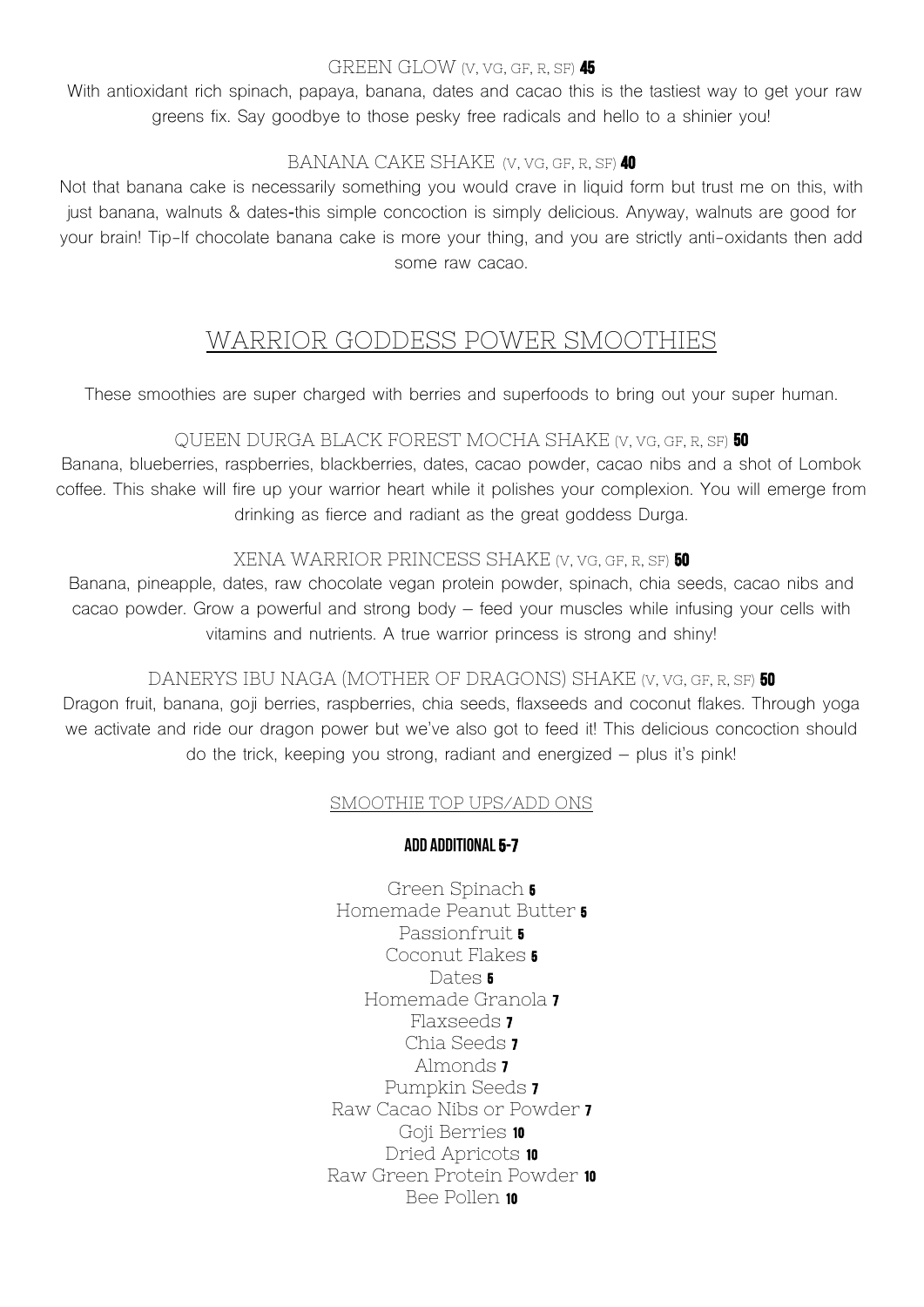#### GREEN GLOW (V, VG, GF, R, SF) 45

With antioxidant rich spinach, papaya, banana, dates and cacao this is the tastiest way to get your raw greens fix. Say goodbye to those pesky free radicals and hello to a shinier you!

#### BANANA CAKE SHAKE (V, VG, GF, R, SF) 40

Not that banana cake is necessarily something you would crave in liquid form but trust me on this, with just banana, walnuts & dates**-**this simple concoction is simply delicious. Anyway, walnuts are good for your brain! Tip-If chocolate banana cake is more your thing, and you are strictly anti-oxidants then add some raw cacao.

# WARRIOR GODDESS POWER SMOOTHIES

These smoothies are super charged with berries and superfoods to bring out your super human.

#### QUEEN DURGA BLACK FOREST MOCHA SHAKE (V, VG, GF, R, SF) 50

Banana, blueberries, raspberries, blackberries, dates, cacao powder, cacao nibs and a shot of Lombok coffee. This shake will fire up your warrior heart while it polishes your complexion. You will emerge from drinking as fierce and radiant as the great goddess Durga.

#### XENA WARRIOR PRINCESS SHAKE (V, VG, GF, R, SF) 50

Banana, pineapple, dates, raw chocolate vegan protein powder, spinach, chia seeds, cacao nibs and cacao powder. Grow a powerful and strong body – feed your muscles while infusing your cells with vitamins and nutrients. A true warrior princess is strong and shiny!

#### DANERYS IBU NAGA (MOTHER OF DRAGONS) SHAKE (V, VG, GF, R, SF) 50

Dragon fruit, banana, goji berries, raspberries, chia seeds, flaxseeds and coconut flakes. Through yoga we activate and ride our dragon power but we've also got to feed it! This delicious concoction should do the trick, keeping you strong, radiant and energized – plus it's pink!

#### SMOOTHIE TOP UPS/ADD ONS

#### ADD ADDITIONAL 5-7

Green Spinach 5 Homemade Peanut Butter 5 Passionfruit **5** Coconut Flakes 5 Dates **5** Homemade Granola 7 Flaxseeds 7 Chia Seeds 7 Almonds 7 Pumpkin Seeds 7 Raw Cacao Nibs or Powder 7 Goji Berries 10 Dried Apricots 10 Raw Green Protein Powder 10 Bee Pollen 10